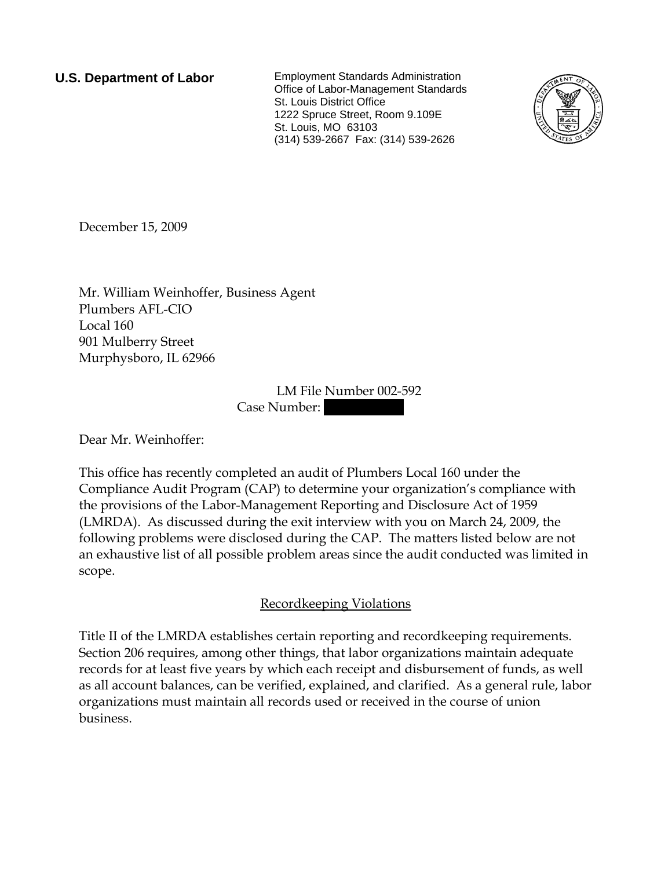**U.S. Department of Labor** Employment Standards Administration Office of Labor-Management Standards St. Louis District Office 1222 Spruce Street, Room 9.109E St. Louis, MO 63103 (314) 539-2667 Fax: (314) 539-2626



December 15, 2009

Mr. William Weinhoffer, Business Agent Plumbers AFL-CIO Local 160 901 Mulberry Street Murphysboro, IL 62966

> LM File Number 002-592 Case Number:

Dear Mr. Weinhoffer:

This office has recently completed an audit of Plumbers Local 160 under the Compliance Audit Program (CAP) to determine your organization's compliance with the provisions of the Labor-Management Reporting and Disclosure Act of 1959 (LMRDA). As discussed during the exit interview with you on March 24, 2009, the following problems were disclosed during the CAP. The matters listed below are not an exhaustive list of all possible problem areas since the audit conducted was limited in scope.

# Recordkeeping Violations

Title II of the LMRDA establishes certain reporting and recordkeeping requirements. Section 206 requires, among other things, that labor organizations maintain adequate records for at least five years by which each receipt and disbursement of funds, as well as all account balances, can be verified, explained, and clarified. As a general rule, labor organizations must maintain all records used or received in the course of union business.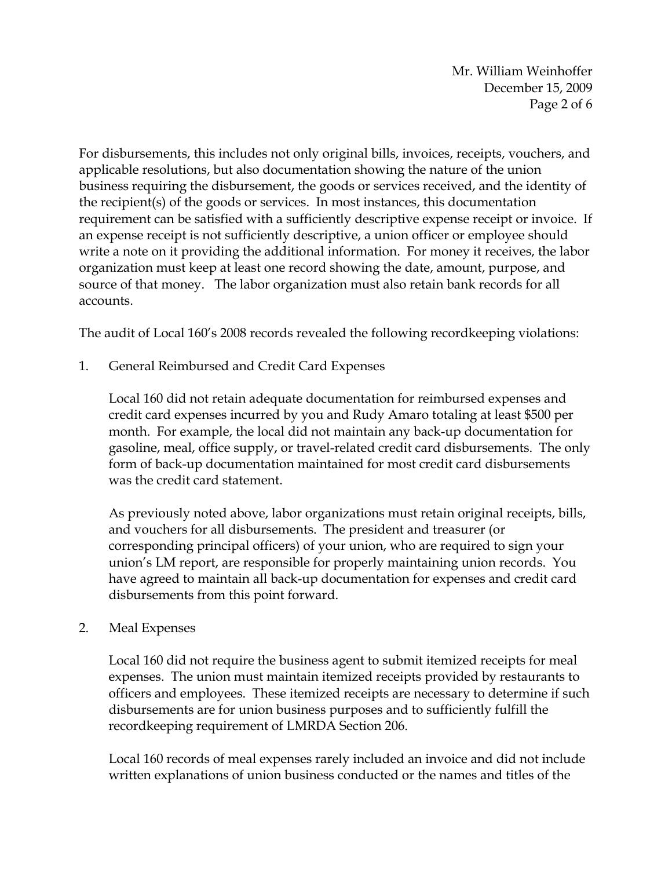Mr. William Weinhoffer December 15, 2009 Page 2 of 6

For disbursements, this includes not only original bills, invoices, receipts, vouchers, and applicable resolutions, but also documentation showing the nature of the union business requiring the disbursement, the goods or services received, and the identity of the recipient(s) of the goods or services. In most instances, this documentation requirement can be satisfied with a sufficiently descriptive expense receipt or invoice. If an expense receipt is not sufficiently descriptive, a union officer or employee should write a note on it providing the additional information. For money it receives, the labor organization must keep at least one record showing the date, amount, purpose, and source of that money. The labor organization must also retain bank records for all accounts.

The audit of Local 160's 2008 records revealed the following recordkeeping violations:

1. General Reimbursed and Credit Card Expenses

Local 160 did not retain adequate documentation for reimbursed expenses and credit card expenses incurred by you and Rudy Amaro totaling at least \$500 per month. For example, the local did not maintain any back-up documentation for gasoline, meal, office supply, or travel-related credit card disbursements. The only form of back-up documentation maintained for most credit card disbursements was the credit card statement.

As previously noted above, labor organizations must retain original receipts, bills, and vouchers for all disbursements. The president and treasurer (or corresponding principal officers) of your union, who are required to sign your union's LM report, are responsible for properly maintaining union records. You have agreed to maintain all back-up documentation for expenses and credit card disbursements from this point forward.

#### 2. Meal Expenses

Local 160 did not require the business agent to submit itemized receipts for meal expenses. The union must maintain itemized receipts provided by restaurants to officers and employees. These itemized receipts are necessary to determine if such disbursements are for union business purposes and to sufficiently fulfill the recordkeeping requirement of LMRDA Section 206.

Local 160 records of meal expenses rarely included an invoice and did not include written explanations of union business conducted or the names and titles of the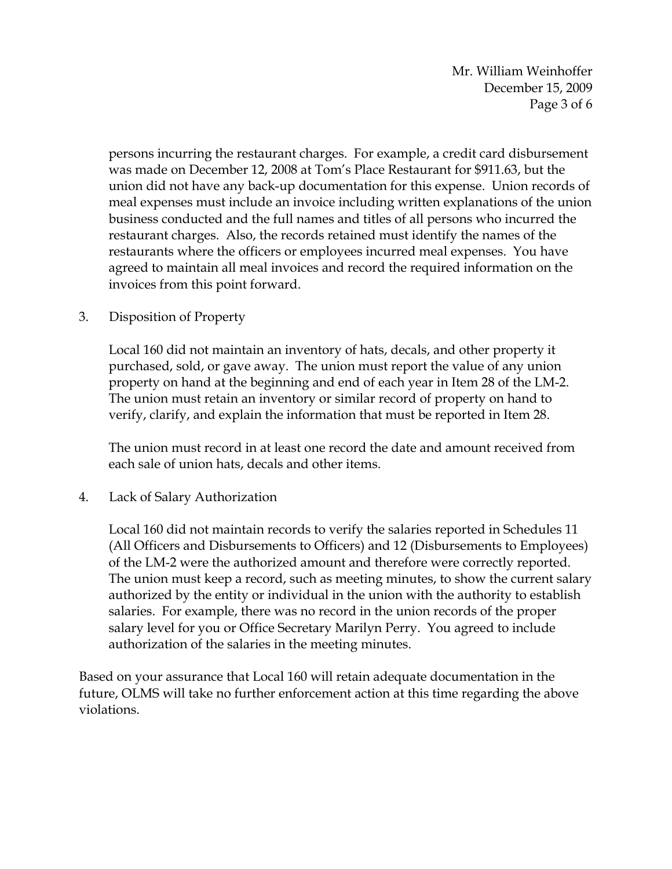Mr. William Weinhoffer December 15, 2009 Page 3 of 6

persons incurring the restaurant charges. For example, a credit card disbursement was made on December 12, 2008 at Tom's Place Restaurant for \$911.63, but the union did not have any back-up documentation for this expense. Union records of meal expenses must include an invoice including written explanations of the union business conducted and the full names and titles of all persons who incurred the restaurant charges. Also, the records retained must identify the names of the restaurants where the officers or employees incurred meal expenses. You have agreed to maintain all meal invoices and record the required information on the invoices from this point forward.

### 3. Disposition of Property

Local 160 did not maintain an inventory of hats, decals, and other property it purchased, sold, or gave away. The union must report the value of any union property on hand at the beginning and end of each year in Item 28 of the LM-2. The union must retain an inventory or similar record of property on hand to verify, clarify, and explain the information that must be reported in Item 28.

The union must record in at least one record the date and amount received from each sale of union hats, decals and other items.

#### 4. Lack of Salary Authorization

Local 160 did not maintain records to verify the salaries reported in Schedules 11 (All Officers and Disbursements to Officers) and 12 (Disbursements to Employees) of the LM-2 were the authorized amount and therefore were correctly reported. The union must keep a record, such as meeting minutes, to show the current salary authorized by the entity or individual in the union with the authority to establish salaries. For example, there was no record in the union records of the proper salary level for you or Office Secretary Marilyn Perry. You agreed to include authorization of the salaries in the meeting minutes.

Based on your assurance that Local 160 will retain adequate documentation in the future, OLMS will take no further enforcement action at this time regarding the above violations.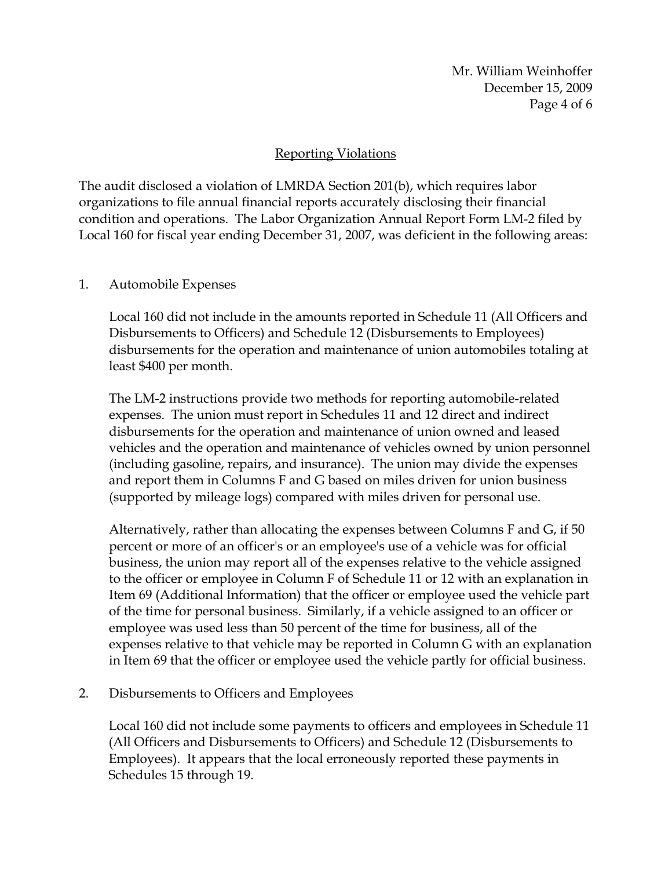Mr. William Weinhoffer December 15, 2009 Page 4 of 6

## Reporting Violations

The audit disclosed a violation of LMRDA Section 201(b), which requires labor organizations to file annual financial reports accurately disclosing their financial condition and operations. The Labor Organization Annual Report Form LM-2 filed by Local 160 for fiscal year ending December 31, 2007, was deficient in the following areas:

#### 1. Automobile Expenses

Local 160 did not include in the amounts reported in Schedule 11 (All Officers and Disbursements to Officers) and Schedule 12 (Disbursements to Employees) disbursements for the operation and maintenance of union automobiles totaling at least \$400 per month.

The LM-2 instructions provide two methods for reporting automobile-related expenses. The union must report in Schedules 11 and 12 direct and indirect disbursements for the operation and maintenance of union owned and leased vehicles and the operation and maintenance of vehicles owned by union personnel (including gasoline, repairs, and insurance). The union may divide the expenses and report them in Columns F and G based on miles driven for union business (supported by mileage logs) compared with miles driven for personal use.

Alternatively, rather than allocating the expenses between Columns F and G, if 50 percent or more of an officer's or an employee's use of a vehicle was for official business, the union may report all of the expenses relative to the vehicle assigned to the officer or employee in Column F of Schedule 11 or 12 with an explanation in Item 69 (Additional Information) that the officer or employee used the vehicle part of the time for personal business. Similarly, if a vehicle assigned to an officer or employee was used less than 50 percent of the time for business, all of the expenses relative to that vehicle may be reported in Column G with an explanation in Item 69 that the officer or employee used the vehicle partly for official business.

2. Disbursements to Officers and Employees

Local 160 did not include some payments to officers and employees in Schedule 11 (All Officers and Disbursements to Officers) and Schedule 12 (Disbursements to Employees). It appears that the local erroneously reported these payments in Schedules 15 through 19.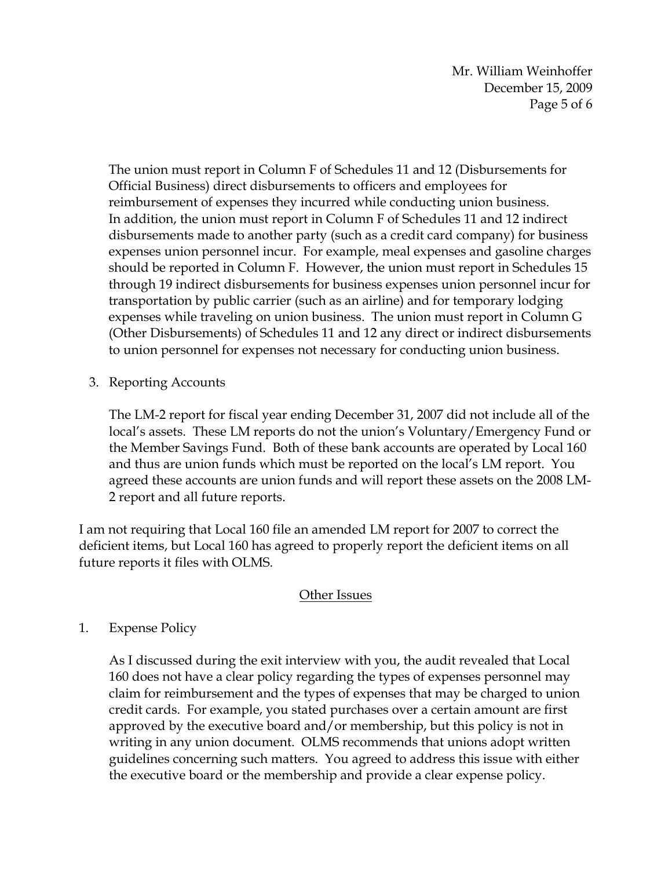Mr. William Weinhoffer December 15, 2009 Page 5 of 6

The union must report in Column F of Schedules 11 and 12 (Disbursements for Official Business) direct disbursements to officers and employees for reimbursement of expenses they incurred while conducting union business. In addition, the union must report in Column F of Schedules 11 and 12 indirect disbursements made to another party (such as a credit card company) for business expenses union personnel incur. For example, meal expenses and gasoline charges should be reported in Column F. However, the union must report in Schedules 15 through 19 indirect disbursements for business expenses union personnel incur for transportation by public carrier (such as an airline) and for temporary lodging expenses while traveling on union business. The union must report in Column G (Other Disbursements) of Schedules 11 and 12 any direct or indirect disbursements to union personnel for expenses not necessary for conducting union business.

3. Reporting Accounts

The LM-2 report for fiscal year ending December 31, 2007 did not include all of the local's assets. These LM reports do not the union's Voluntary/Emergency Fund or the Member Savings Fund. Both of these bank accounts are operated by Local 160 and thus are union funds which must be reported on the local's LM report. You agreed these accounts are union funds and will report these assets on the 2008 LM-2 report and all future reports.

I am not requiring that Local 160 file an amended LM report for 2007 to correct the deficient items, but Local 160 has agreed to properly report the deficient items on all future reports it files with OLMS.

# Other Issues

# 1. Expense Policy

As I discussed during the exit interview with you, the audit revealed that Local 160 does not have a clear policy regarding the types of expenses personnel may claim for reimbursement and the types of expenses that may be charged to union credit cards. For example, you stated purchases over a certain amount are first approved by the executive board and/or membership, but this policy is not in writing in any union document. OLMS recommends that unions adopt written guidelines concerning such matters. You agreed to address this issue with either the executive board or the membership and provide a clear expense policy.